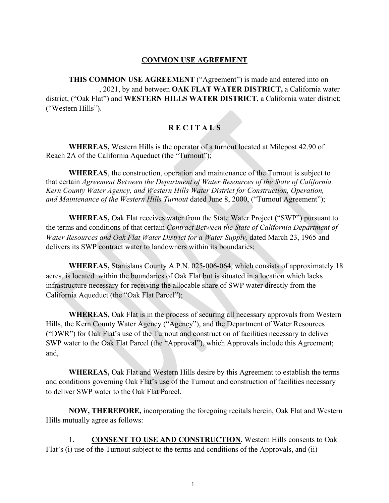## **COMMON USE AGREEMENT**

**THIS COMMON USE AGREEMENT** ("Agreement") is made and entered into on \_\_\_\_\_\_\_\_\_\_\_\_\_\_, 2021, by and between **OAK FLAT WATER DISTRICT,** a California water district, ("Oak Flat") and **WESTERN HILLS WATER DISTRICT**, a California water district; ("Western Hills").

## **R E C I T A L S**

**WHEREAS,** Western Hills is the operator of a turnout located at Milepost 42.90 of Reach 2A of the California Aqueduct (the "Turnout");

**WHEREAS**, the construction, operation and maintenance of the Turnout is subject to that certain *Agreement Between the Department of Water Resources of the State of California, Kern County Water Agency, and Western Hills Water District for Construction, Operation, and Maintenance of the Western Hills Turnout dated June 8, 2000, ("Turnout Agreement");* 

**WHEREAS,** Oak Flat receives water from the State Water Project ("SWP") pursuant to the terms and conditions of that certain *Contract Between the State of California Department of Water Resources and Oak Flat Water District for a Water Supply, dated March 23, 1965 and* delivers its SWP contract water to landowners within its boundaries;

**WHEREAS,** Stanislaus County A.P.N. 025-006-064, which consists of approximately 18 acres, is located within the boundaries of Oak Flat but is situated in a location which lacks infrastructure necessary for receiving the allocable share of SWP water directly from the California Aqueduct (the "Oak Flat Parcel");

**WHEREAS,** Oak Flat is in the process of securing all necessary approvals from Western Hills, the Kern County Water Agency ("Agency"), and the Department of Water Resources ("DWR") for Oak Flat's use of the Turnout and construction of facilities necessary to deliver SWP water to the Oak Flat Parcel (the "Approval"), which Approvals include this Agreement; and,

**WHEREAS,** Oak Flat and Western Hills desire by this Agreement to establish the terms and conditions governing Oak Flat's use of the Turnout and construction of facilities necessary to deliver SWP water to the Oak Flat Parcel.

**NOW, THEREFORE,** incorporating the foregoing recitals herein, Oak Flat and Western Hills mutually agree as follows:

1. **CONSENT TO USE AND CONSTRUCTION.** Western Hills consents to Oak Flat's (i) use of the Turnout subject to the terms and conditions of the Approvals, and (ii)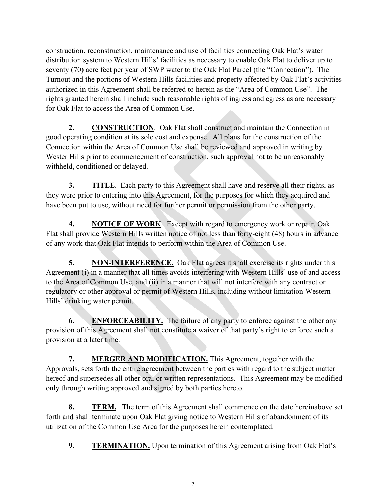construction, reconstruction, maintenance and use of facilities connecting Oak Flat's water distribution system to Western Hills' facilities as necessary to enable Oak Flat to deliver up to seventy (70) acre feet per year of SWP water to the Oak Flat Parcel (the "Connection"). The Turnout and the portions of Western Hills facilities and property affected by Oak Flat's activities authorized in this Agreement shall be referred to herein as the "Area of Common Use". The rights granted herein shall include such reasonable rights of ingress and egress as are necessary for Oak Flat to access the Area of Common Use.

**2. CONSTRUCTION**. Oak Flat shall construct and maintain the Connection in good operating condition at its sole cost and expense. All plans for the construction of the Connection within the Area of Common Use shall be reviewed and approved in writing by Wester Hills prior to commencement of construction, such approval not to be unreasonably withheld, conditioned or delayed.

**3. TITLE**. Each party to this Agreement shall have and reserve all their rights, as they were prior to entering into this Agreement, for the purposes for which they acquired and have been put to use, without need for further permit or permission from the other party.

**4. NOTICE OF WORK**. Except with regard to emergency work or repair, Oak Flat shall provide Western Hills written notice of not less than forty-eight (48) hours in advance of any work that Oak Flat intends to perform within the Area of Common Use.

**5. NON-INTERFERENCE.** Oak Flat agrees it shall exercise its rights under this Agreement (i) in a manner that all times avoids interfering with Western Hills' use of and access to the Area of Common Use, and (ii) in a manner that will not interfere with any contract or regulatory or other approval or permit of Western Hills, including without limitation Western Hills' drinking water permit.

**6. ENFORCEABILITY.** The failure of any party to enforce against the other any provision of this Agreement shall not constitute a waiver of that party's right to enforce such a provision at a later time.

**7. MERGER AND MODIFICATION.** This Agreement, together with the Approvals, sets forth the entire agreement between the parties with regard to the subject matter hereof and supersedes all other oral or written representations. This Agreement may be modified only through writing approved and signed by both parties hereto.

**8. TERM.** The term of this Agreement shall commence on the date hereinabove set forth and shall terminate upon Oak Flat giving notice to Western Hills of abandonment of its utilization of the Common Use Area for the purposes herein contemplated.

**9. TERMINATION.** Upon termination of this Agreement arising from Oak Flat's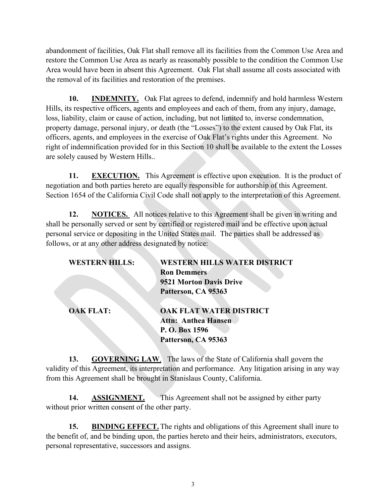abandonment of facilities, Oak Flat shall remove all its facilities from the Common Use Area and restore the Common Use Area as nearly as reasonably possible to the condition the Common Use Area would have been in absent this Agreement. Oak Flat shall assume all costs associated with the removal of its facilities and restoration of the premises.

**10. INDEMNITY.** Oak Flat agrees to defend, indemnify and hold harmless Western Hills, its respective officers, agents and employees and each of them, from any injury, damage, loss, liability, claim or cause of action, including, but not limited to, inverse condemnation, property damage, personal injury, or death (the "Losses") to the extent caused by Oak Flat, its officers, agents, and employees in the exercise of Oak Flat's rights under this Agreement. No right of indemnification provided for in this Section 10 shall be available to the extent the Losses are solely caused by Western Hills..

**11. EXECUTION.** This Agreement is effective upon execution. It is the product of negotiation and both parties hereto are equally responsible for authorship of this Agreement. Section 1654 of the California Civil Code shall not apply to the interpretation of this Agreement.

**12. NOTICES.** All notices relative to this Agreement shall be given in writing and shall be personally served or sent by certified or registered mail and be effective upon actual personal service or depositing in the United States mail. The parties shall be addressed as follows, or at any other address designated by notice:

| <b>WESTERN HILLS:</b> | <b>WESTERN HILLS WATER DISTRICT</b> |
|-----------------------|-------------------------------------|
|                       | <b>Ron Demmers</b>                  |
|                       | 9521 Morton Davis Drive             |
|                       | Patterson, CA 95363                 |
| <b>OAK FLAT:</b>      | <b>OAK FLAT WATER DISTRICT</b>      |
|                       | <b>Attn: Anthea Hansen</b>          |
|                       | P.O. Box 1596                       |
|                       | Patterson, CA 95363                 |
|                       |                                     |

**13. GOVERNING LAW**. The laws of the State of California shall govern the validity of this Agreement, its interpretation and performance. Any litigation arising in any way from this Agreement shall be brought in Stanislaus County, California.

**14. ASSIGNMENT.** This Agreement shall not be assigned by either party without prior written consent of the other party.

**15. BINDING EFFECT.** The rights and obligations of this Agreement shall inure to the benefit of, and be binding upon, the parties hereto and their heirs, administrators, executors, personal representative, successors and assigns.